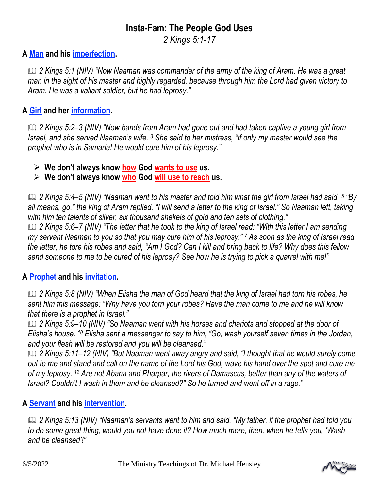# **Insta-Fam: The People God Uses**

*2 Kings 5:1-17*

## **A Man and his imperfection.**

 *2 Kings 5:1 (NIV) "Now Naaman was commander of the army of the king of Aram. He was a great man in the sight of his master and highly regarded, because through him the Lord had given victory to Aram. He was a valiant soldier, but he had leprosy."* 

#### **A Girl and her information.**

 *2 Kings 5:2–3 (NIV) "Now bands from Aram had gone out and had taken captive a young girl from Israel, and she served Naaman's wife. <sup>3</sup> She said to her mistress, "If only my master would see the prophet who is in Samaria! He would cure him of his leprosy."*

➢ **We don't always know how God wants to use us.**

➢ **We don't always know who God will use to reach us.** 

 *2 Kings 5:4–5 (NIV) "Naaman went to his master and told him what the girl from Israel had said. <sup>5</sup> "By all means, go," the king of Aram replied. "I will send a letter to the king of Israel." So Naaman left, taking with him ten talents of silver, six thousand shekels of gold and ten sets of clothing." 2 Kings 5:6–7 (NIV) "The letter that he took to the king of Israel read: "With this letter I am sending my servant Naaman to you so that you may cure him of his leprosy." <sup>7</sup> As soon as the king of Israel read the letter, he tore his robes and said, "Am I God? Can I kill and bring back to life? Why does this fellow send someone to me to be cured of his leprosy? See how he is trying to pick a quarrel with me!"* 

## **A Prophet and his invitation.**

 *2 Kings 5:8 (NIV) "When Elisha the man of God heard that the king of Israel had torn his robes, he sent him this message: "Why have you torn your robes? Have the man come to me and he will know that there is a prophet in Israel."*

 *2 Kings 5:9–10 (NIV) "So Naaman went with his horses and chariots and stopped at the door of Elisha's house. <sup>10</sup> Elisha sent a messenger to say to him, "Go, wash yourself seven times in the Jordan, and your flesh will be restored and you will be cleansed."* 

 *2 Kings 5:11–12 (NIV) "But Naaman went away angry and said, "I thought that he would surely come out to me and stand and call on the name of the Lord his God, wave his hand over the spot and cure me of my leprosy. <sup>12</sup> Are not Abana and Pharpar, the rivers of Damascus, better than any of the waters of Israel? Couldn't I wash in them and be cleansed?" So he turned and went off in a rage."*

## **A Servant and his intervention.**

 *2 Kings 5:13 (NIV) "Naaman's servants went to him and said, "My father, if the prophet had told you to do some great thing, would you not have done it? How much more, then, when he tells you, 'Wash and be cleansed'!"*